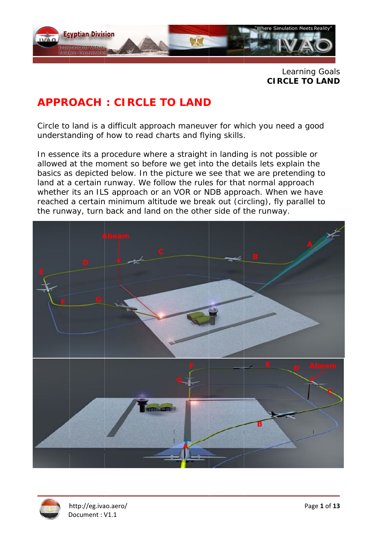

**CIR RCLE TO LAND**  Learning g Goals

# **APPROACH: CIRCLE TO LAND**

Circle to land is a difficult approach maneuver for which you need a good understanding of how to read charts and flying skills.

In essence its a procedure where a straight in landing is not possible or allowed at the moment so before we get into the details lets explain the basics as depicted below. In the picture we see that we are pretending to land at a certain runway. We follow the rules for that normal approach whether its an ILS approach or an VOR or NDB approach. When we have reached a certain minimum altitude we break out (circling), fly parallel to the runway, turn back and land on the other side of the runway.



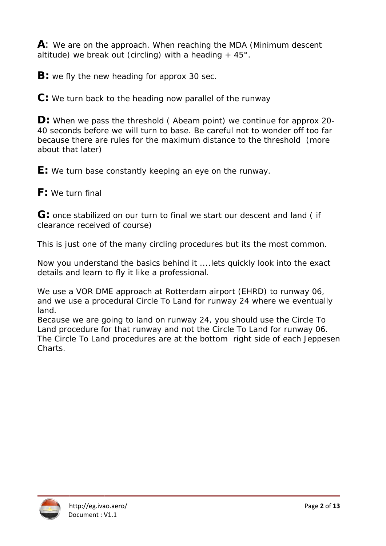$\mathsf{A}$ : We are on the approach. When reaching the MDA (Minimum descent altitude) we break out (circling) with a heading  $+45^{\circ}$ .

**B:** we fly the new heading for approx 30 sec.

 $\mathbf{C}$ : We turn back to the heading now parallel of the runway

**D:** When we pass the threshold (Abeam point) we continue for approx 20-40 seconds before we will turn to base. Be careful not to wonder off too far because there are rules for the maximum distance to the threshold (more about that later)

**E:** We turn base constantly keeping an eye on the runway.

 $F:$  We turn final

G: once stabilized on our turn to final we start our descent and land (if clearance received of course)

This is just one of the many circling procedures but its the most common.

Now you understand the basics behind it .... lets quickly look into the exact details and learn to fly it like a professional.

We use a VOR DME approach at Rotterdam airport (EHRD) to runway 06, and we use a procedural Circle To Land for runway 24 where we eventually land.

Because we are going to land on runway 24, you should use the Circle To Land procedure for that runway and not the Circle To Land for runway 06. The Circle To Land procedures are at the bottom right side of each Jeppesen Charts.

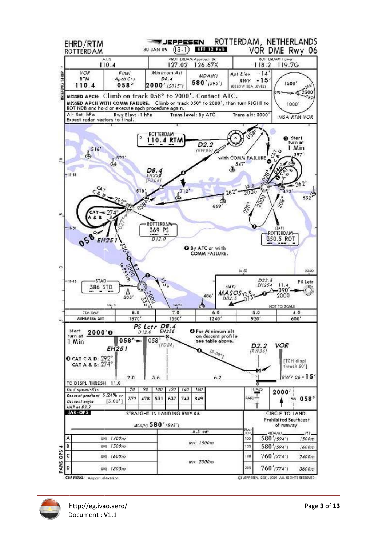

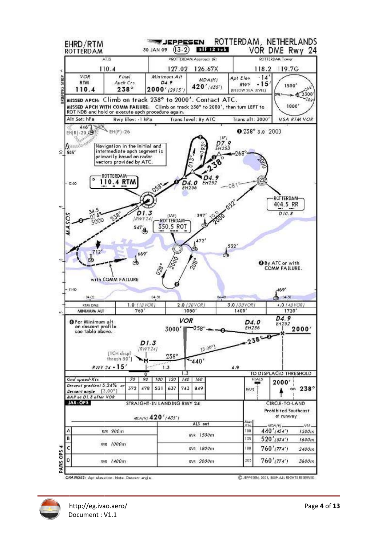

CHANGES: Apt elevation. Note. Descent and el

C JEPPESEN, 2001, 2009, ALL RIGHTS RESERVED

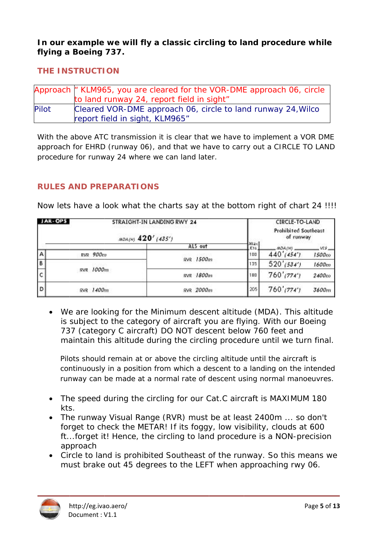In our example we will fly a classic circling to land procedure while flying a Boeing 737.

#### **THE INSTRUCTION**

|       | Approach   KLM965, you are cleared for the VOR-DME approach 06, circle |
|-------|------------------------------------------------------------------------|
|       | to land runway 24, report field in sight"                              |
| Pilot | Cleared VOR-DME approach 06, circle to land runway 24, Wilco           |
|       | report field in sight, KLM965"                                         |

With the above ATC transmission it is clear that we have to implement a VOR DME approach for EHRD (runway 06), and that we have to carry out a CIRCLE TO LAND procedure for runway 24 where we can land later.

#### **RULES AND PREPARATIONS**

RVR 900m

| JAR-OPS | STRAIGHT-IN LANDING RWY 24                                        | CIRCLE-TO-LAND       |
|---------|-------------------------------------------------------------------|----------------------|
|         | 그의 말을 위한 시대에 가장 안에 가서 보면 아이들은 아이들이 없어 보다 하나 아이들이 있다. 이 사람은 어디 있어? | Prohibited Southeast |
|         | 120'1120'                                                         | of runway            |

ALS out

RVR 1500m

Max

 $K14$ 

100

**MOACHL** 

440'(454')

W<sub>S</sub>

 $1500m$ 

Now lets have a look what the charts say at the bottom right of chart 24 IIII

| В |           | RAK TƏRMIN                                                                                                                                                                             | 135  | 520' (534')   | 1600m             |
|---|-----------|----------------------------------------------------------------------------------------------------------------------------------------------------------------------------------------|------|---------------|-------------------|
| c | RVR 1000m | RVR 1800m                                                                                                                                                                              | 1180 | $760'$ (774') | 2400 <sub>m</sub> |
| D | RVR 1400m | RVR 2000m                                                                                                                                                                              | 205  | $760'$ (774') | 3600m             |
|   |           | We are looking for the Minimum descent altitude (MDA). This altitude<br>ta angkatan dan dianggalam menggunakan mengali mengali dan disebut dan bermula pengantangan dan bermula mengan |      |               |                   |

is subject to the category of aircraft you are flying. With our Boeing 737 (category C aircraft) DO NOT descent below 760 feet and maintain this altitude during the circling procedure until we turn final.

Pilots should remain at or above the circling altitude until the aircraft is continuously in a position from which a descent to a landing on the intended runway can be made at a normal rate of descent using normal manoeuvres.

- The speed during the circling for our Cat.C aircraft is MAXIMUM 180  $\bullet$ kts.
- The runway Visual Range (RVR) must be at least 2400m ... so don't  $\bullet$ forget to check the METAR! If its foggy, low visibility, clouds at 600 ft...forget it! Hence, the circling to land procedure is a NON-precision approach
- Circle to land is prohibited Southeast of the runway. So this means we  $\bullet$ must brake out 45 degrees to the LEFT when approaching rwy 06.

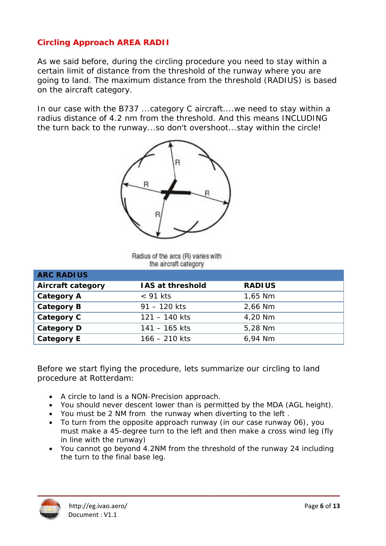# **Circling Approach AREA RADII**

As we said before, during the circling procedure you need to stay within a certain limit of distance from the threshold of the runway where you are going to land. The maximum distance from the threshold (RADIUS) is based on the aircraft category.

In our case with the B737 ... category C aircraft... we need to stay within a radius distance of 4.2 nm from the threshold. And this means INCLUDING the turn back to the runway...so don't overshoot...stay within the circle!



Radius of the arcs (R) varies with the aircraft category

| <b>ARC RADIUS</b>        |                         |               |
|--------------------------|-------------------------|---------------|
| <b>Aircraft category</b> | <b>IAS at threshold</b> | <b>RADIUS</b> |
| <b>Category A</b>        | $<$ 91 kts              | 1,65 Nm       |
| <b>Category B</b>        | $91 - 120$ kts          | 2,66 Nm       |
| Category C               | $121 - 140$ kts         | 4,20 Nm       |
| <b>Category D</b>        | $141 - 165$ kts         | 5,28 Nm       |
| <b>Category E</b>        | $166 - 210$ kts         | 6,94 Nm       |

Before we start flying the procedure, lets summarize our circling to land procedure at Rotterdam:

- A circle to land is a NON-Precision approach.
- You should never descent lower than is permitted by the MDA (AGL height).
- You must be 2 NM from the runway when diverting to the left.
- To turn from the opposite approach runway (in our case runway 06), you must make a 45-degree turn to the left and then make a cross wind leg (fly in line with the runway)
- You cannot go beyond 4.2NM from the threshold of the runway 24 including the turn to the final base leg.

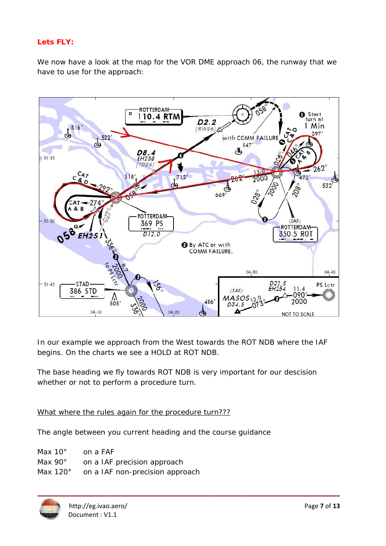#### Lets FLY:

We now have a look at the map for the VOR DME approach 06, the runway that we have to use for the approach:



In our example we approach from the West towards the ROT NDB where the IAF begins. On the charts we see a HOLD at ROT NDB.

The base heading we fly towards ROT NDB is very important for our descision whether or not to perform a procedure turn.

#### What where the rules again for the procedure turn???

The angle between you current heading and the course guidance

| Max 10 $^{\circ}$  | on a FAF                        |
|--------------------|---------------------------------|
| Max 90 $^{\circ}$  | on a IAF precision approach     |
| Max 120 $^{\circ}$ | on a IAF non-precision approach |

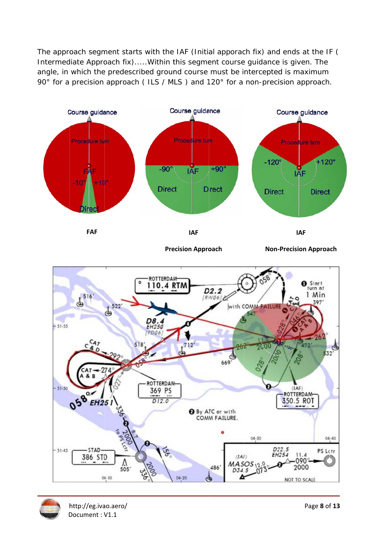The approach segment starts with the IAF (Initial apporach fix) and ends at the IF ( Intermediate Approach fix).....Within this segment course guidance is given. The angle, in which the predescribed ground course must be intercepted is maximum 90° for a precision approach (ILS / MLS) and 120° for a non-precision approach.



**Precision Approach** 

**Non-Precision Approach** 



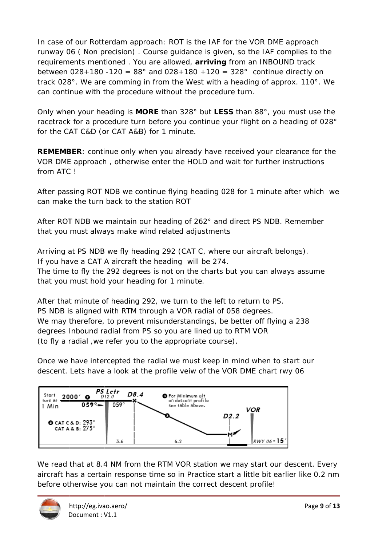In case of our Rotterdam approach: ROT is the IAF for the VOR DME approach runway 06 (Non precision). Course guidance is given, so the IAF complies to the requirements mentioned. You are allowed, **arriving** from an INBOUND track between  $028+180-120 = 88^{\circ}$  and  $028+180+120 = 328^{\circ}$  continue directly on track 028°. We are comming in from the West with a heading of approx. 110°. We can continue with the procedure without the procedure turn.

Only when your heading is MORE than 328° but LESS than 88°, you must use the racetrack for a procedure turn before you continue your flight on a heading of 028° for the CAT C&D (or CAT A&B) for 1 minute.

**REMEMBER:** continue only when you already have received your clearance for the VOR DME approach, otherwise enter the HOLD and wait for further instructions from ATC I

After passing ROT NDB we continue flying heading 028 for 1 minute after which we can make the turn back to the station ROT

After ROT NDB we maintain our heading of 262° and direct PS NDB. Remember that you must always make wind related adjustments

Arriving at PS NDB we fly heading 292 (CAT C, where our aircraft belongs). If you have a CAT A aircraft the heading will be 274.

The time to fly the 292 degrees is not on the charts but you can always assume that you must hold your heading for 1 minute.

After that minute of heading 292, we turn to the left to return to PS. PS NDB is aligned with RTM through a VOR radial of 058 degrees. We may therefore, to prevent misunderstandings, be better off flying a 238 degrees Inbound radial from PS so you are lined up to RTM VOR (to fly a radial, we refer you to the appropriate course).

Once we have intercepted the radial we must keep in mind when to start our descent. Lets have a look at the profile veiw of the VOR DME chart rwy 06



We read that at 8.4 NM from the RTM VOR station we may start our descent. Every aircraft has a certain response time so in Practice start a little bit earlier like 0.2 nm before otherwise you can not maintain the correct descent profile!

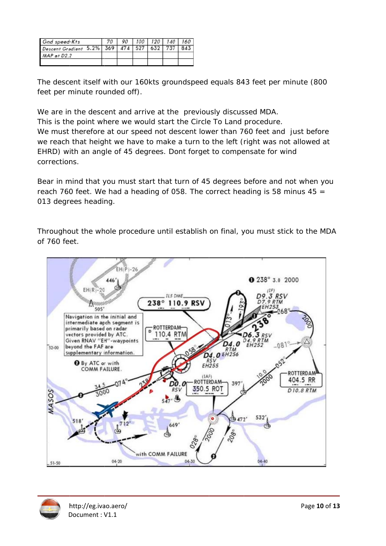| Gnd speed-Kts                             | 90. |  | 100   120   140 | 160 |
|-------------------------------------------|-----|--|-----------------|-----|
| Descent Gradient 5.2% 369 474 527 632 737 |     |  |                 |     |
| MAP <sub>af</sub> D2.2                    |     |  |                 |     |
|                                           |     |  |                 |     |

The descent itself with our 160kts groundspeed equals 843 feet per minute (800 feet per minute rounded off).

We are in the descent and arrive at the previously discussed MDA.

This is the point where we would start the Circle To Land procedure. We must therefore at our speed not descent lower than 760 feet and just before we reach that height we have to make a turn to the left (right was not allowed at EHRD) with an angle of 45 degrees. Dont forget to compensate for wind corrections.

Bear in mind that you must start that turn of 45 degrees before and not when you reach 760 feet. We had a heading of 058. The correct heading is 58 minus  $45 =$ 013 degrees heading.

Throughout the whole procedure until establish on final, you must stick to the MDA of 760 feet.



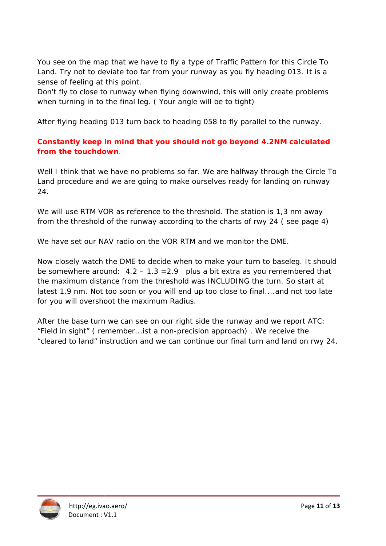You see on the map that we have to fly a type of Traffic Pattern for this Circle To Land. Try not to deviate too far from your runway as you fly heading 013. It is a sense of feeling at this point.

Don't fly to close to runway when flying downwind, this will only create problems when turning in to the final leg. (Your angle will be to tight)

After flying heading 013 turn back to heading 058 to fly parallel to the runway.

## **Constantly keep in mind that you should not go beyond 4.2NM calculated** from the touchdown.

Well I think that we have no problems so far. We are halfway through the Circle To Land procedure and we are going to make ourselves ready for landing on runway 24.

We will use RTM VOR as reference to the threshold. The station is 1,3 nm away from the threshold of the runway according to the charts of rwy 24 (see page 4)

We have set our NAV radio on the VOR RTM and we monitor the DME.

Now closely watch the DME to decide when to make your turn to baseleg. It should be somewhere around:  $4.2 - 1.3 = 2.9$  plus a bit extra as you remembered that the maximum distance from the threshold was INCLUDING the turn. So start at latest 1.9 nm. Not too soon or you will end up too close to final....and not too late for you will overshoot the maximum Radius.

After the base turn we can see on our right side the runway and we report ATC: "Field in sight" (remember... ist a non-precision approach). We receive the "cleared to land" instruction and we can continue our final turn and land on rwy 24.

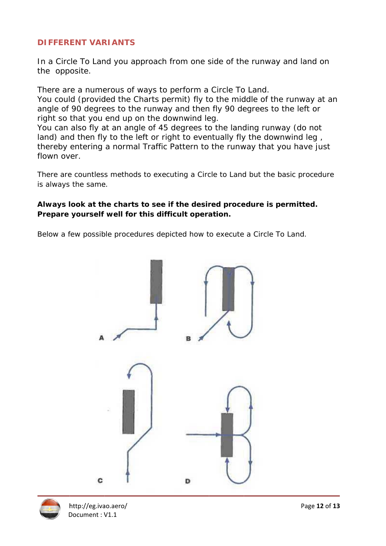## **DIFFERENT VARIANTS**

In a Circle To Land you approach from one side of the runway and land on the opposite.

There are a numerous of ways to perform a Circle To Land. You could (provided the Charts permit) fly to the middle of the runway at an angle of 90 degrees to the runway and then fly 90 degrees to the left or right so that you end up on the downwind leg.

You can also fly at an angle of 45 degrees to the landing runway (do not land) and then fly to the left or right to eventually fly the downwind leg, thereby entering a normal Traffic Pattern to the runway that you have just flown over

There are countless methods to executing a Circle to Land but the basic procedure is always the same.

#### Always look at the charts to see if the desired procedure is permitted. Prepare yourself well for this difficult operation.

Below a few possible procedures depicted how to execute a Circle To Land.